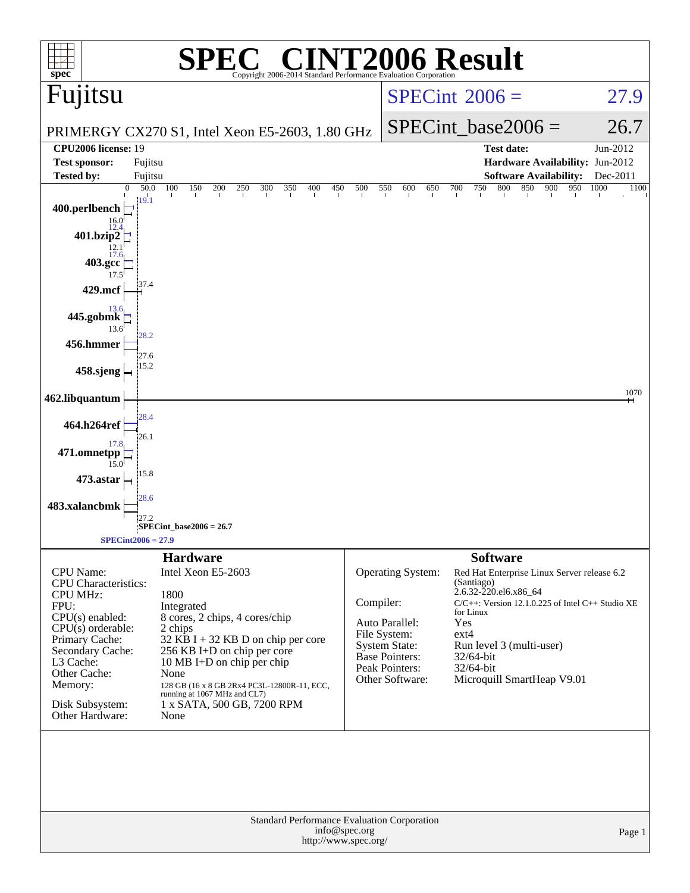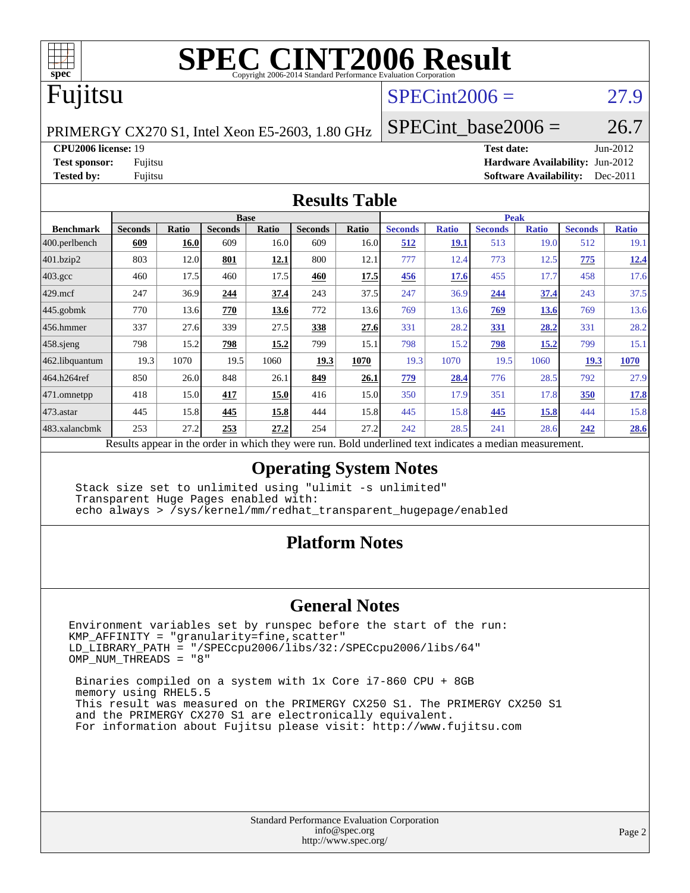

# **[SPEC CINT2006 Result](http://www.spec.org/auto/cpu2006/Docs/result-fields.html#SPECCINT2006Result)**

## Fujitsu

### $SPECint2006 = 27.9$  $SPECint2006 = 27.9$

PRIMERGY CX270 S1, Intel Xeon E5-2603, 1.80 GHz

SPECint base2006 =  $26.7$ 

**[CPU2006 license:](http://www.spec.org/auto/cpu2006/Docs/result-fields.html#CPU2006license)** 19 **[Test date:](http://www.spec.org/auto/cpu2006/Docs/result-fields.html#Testdate)** Jun-2012 **[Test sponsor:](http://www.spec.org/auto/cpu2006/Docs/result-fields.html#Testsponsor)** Fujitsu **[Hardware Availability:](http://www.spec.org/auto/cpu2006/Docs/result-fields.html#HardwareAvailability)** Jun-2012 **[Tested by:](http://www.spec.org/auto/cpu2006/Docs/result-fields.html#Testedby)** Fujitsu **[Software Availability:](http://www.spec.org/auto/cpu2006/Docs/result-fields.html#SoftwareAvailability)** Dec-2011

#### **[Results Table](http://www.spec.org/auto/cpu2006/Docs/result-fields.html#ResultsTable)**

|                      | <b>Base</b>                                                                                              |              |                |       |                |       | <b>Peak</b>    |              |                |              |                |              |
|----------------------|----------------------------------------------------------------------------------------------------------|--------------|----------------|-------|----------------|-------|----------------|--------------|----------------|--------------|----------------|--------------|
| <b>Benchmark</b>     | <b>Seconds</b>                                                                                           | <b>Ratio</b> | <b>Seconds</b> | Ratio | <b>Seconds</b> | Ratio | <b>Seconds</b> | <b>Ratio</b> | <b>Seconds</b> | <b>Ratio</b> | <b>Seconds</b> | <b>Ratio</b> |
| 400.perlbench        | 609                                                                                                      | 16.0         | 609            | 16.0I | 609            | 16.0  | 512            | <b>19.1</b>  | 513            | 19.0         | 512            | 19.1         |
| 401.bzip2            | 803                                                                                                      | 12.0         | 801            | 12.1  | 800            | 12.1  | 777            | 12.4         | 773            | 12.5         | 775            | 12.4         |
| $403.\mathrm{gcc}$   | 460                                                                                                      | 17.5         | 460            | 17.5  | 460            | 17.5  | 456            | 17.6         | 455            | 17.7         | 458            | 17.6         |
| $429$ mcf            | 247                                                                                                      | 36.9         | 244            | 37.4  | 243            | 37.5  | 247            | 36.9         | 244            | 37.4         | 243            | 37.5         |
| $ 445.\text{gobmk} $ | 770                                                                                                      | 13.6         | 770            | 13.6  | 772            | 13.6  | 769            | 13.6         | <b>769</b>     | 13.6         | 769            | 13.6         |
| 456.hmmer            | 337                                                                                                      | 27.6         | 339            | 27.5  | 338            | 27.6  | 331            | 28.2         | 331            | 28.2         | 331            | 28.2         |
| $458$ .sjeng         | 798                                                                                                      | 15.2         | 798            | 15.2  | 799            | 15.1  | 798            | 15.2         | 798            | 15.2         | 799            | 15.1         |
| 462.libquantum       | 19.3                                                                                                     | 1070         | 19.5           | 1060  | 19.3           | 1070  | 19.3           | 1070         | 19.5           | 1060         | <b>19.3</b>    | <b>1070</b>  |
| 464.h264ref          | 850                                                                                                      | 26.0         | 848            | 26.1  | 849            | 26.1  | 779            | 28.4         | 776            | 28.5         | 792            | 27.9         |
| $ 471$ .omnetpp      | 418                                                                                                      | 15.0         | 417            | 15.0  | 416            | 15.0  | 350            | 17.9         | 351            | 17.8         | 350            | 17.8         |
| $473$ . astar        | 445                                                                                                      | 15.8         | 445            | 15.8  | 444            | 15.8  | 445            | 15.8         | 445            | 15.8         | 444            | 15.8         |
| 483.xalancbmk        | 253                                                                                                      | 27.2         | 253            | 27.2  | 254            | 27.2  | 242            | 28.5         | 241            | 28.6         | 242            | 28.6         |
|                      | Results appear in the order in which they were run. Bold underlined text indicates a median measurement. |              |                |       |                |       |                |              |                |              |                |              |

#### **[Operating System Notes](http://www.spec.org/auto/cpu2006/Docs/result-fields.html#OperatingSystemNotes)**

 Stack size set to unlimited using "ulimit -s unlimited" Transparent Huge Pages enabled with: echo always > /sys/kernel/mm/redhat\_transparent\_hugepage/enabled

#### **[Platform Notes](http://www.spec.org/auto/cpu2006/Docs/result-fields.html#PlatformNotes)**

#### **[General Notes](http://www.spec.org/auto/cpu2006/Docs/result-fields.html#GeneralNotes)**

Environment variables set by runspec before the start of the run: KMP\_AFFINITY = "granularity=fine,scatter" LD\_LIBRARY\_PATH = "/SPECcpu2006/libs/32:/SPECcpu2006/libs/64" OMP\_NUM\_THREADS = "8"

 Binaries compiled on a system with 1x Core i7-860 CPU + 8GB memory using RHEL5.5 This result was measured on the PRIMERGY CX250 S1. The PRIMERGY CX250 S1 and the PRIMERGY CX270 S1 are electronically equivalent. For information about Fujitsu please visit: <http://www.fujitsu.com>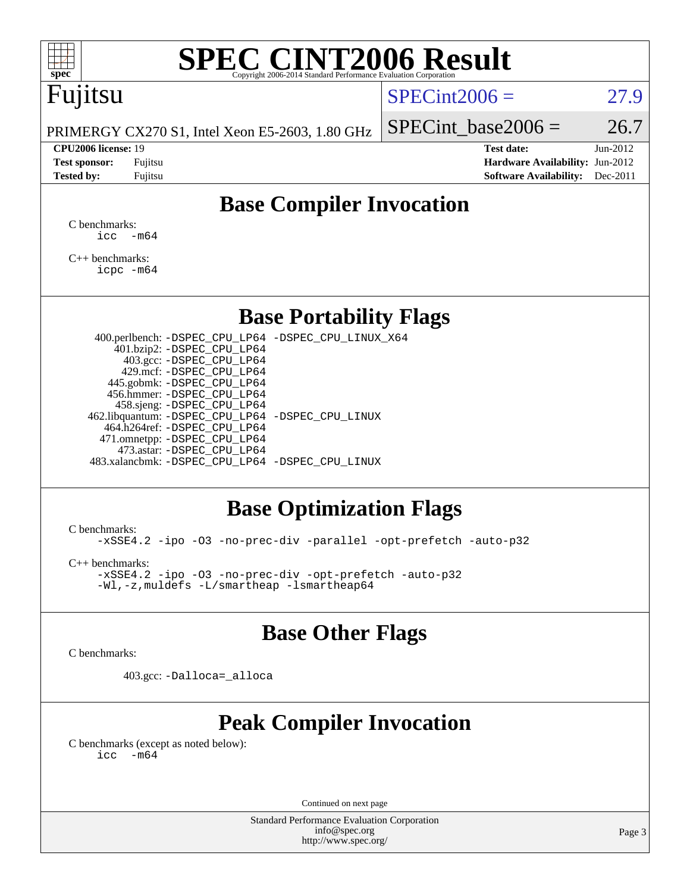# **[SPEC CINT2006 Result](http://www.spec.org/auto/cpu2006/Docs/result-fields.html#SPECCINT2006Result)**

# Fujitsu

#### $SPECint2006 = 27.9$  $SPECint2006 = 27.9$

PRIMERGY CX270 S1, Intel Xeon E5-2603, 1.80 GHz

**[Test sponsor:](http://www.spec.org/auto/cpu2006/Docs/result-fields.html#Testsponsor)** Fujitsu **[Hardware Availability:](http://www.spec.org/auto/cpu2006/Docs/result-fields.html#HardwareAvailability)** Jun-2012 **[Tested by:](http://www.spec.org/auto/cpu2006/Docs/result-fields.html#Testedby)** Fujitsu **Fugital Example 2011 [Software Availability:](http://www.spec.org/auto/cpu2006/Docs/result-fields.html#SoftwareAvailability)** Dec-2011

SPECint base2006 =  $26.7$ **[CPU2006 license:](http://www.spec.org/auto/cpu2006/Docs/result-fields.html#CPU2006license)** 19 **[Test date:](http://www.spec.org/auto/cpu2006/Docs/result-fields.html#Testdate)** Jun-2012

**[Base Compiler Invocation](http://www.spec.org/auto/cpu2006/Docs/result-fields.html#BaseCompilerInvocation)**

[C benchmarks](http://www.spec.org/auto/cpu2006/Docs/result-fields.html#Cbenchmarks):  $\text{icc}$   $-\text{m64}$ 

[C++ benchmarks:](http://www.spec.org/auto/cpu2006/Docs/result-fields.html#CXXbenchmarks) [icpc -m64](http://www.spec.org/cpu2006/results/res2012q3/cpu2006-20120620-23125.flags.html#user_CXXbase_intel_icpc_64bit_fc66a5337ce925472a5c54ad6a0de310)

#### **[Base Portability Flags](http://www.spec.org/auto/cpu2006/Docs/result-fields.html#BasePortabilityFlags)**

 400.perlbench: [-DSPEC\\_CPU\\_LP64](http://www.spec.org/cpu2006/results/res2012q3/cpu2006-20120620-23125.flags.html#b400.perlbench_basePORTABILITY_DSPEC_CPU_LP64) [-DSPEC\\_CPU\\_LINUX\\_X64](http://www.spec.org/cpu2006/results/res2012q3/cpu2006-20120620-23125.flags.html#b400.perlbench_baseCPORTABILITY_DSPEC_CPU_LINUX_X64) 401.bzip2: [-DSPEC\\_CPU\\_LP64](http://www.spec.org/cpu2006/results/res2012q3/cpu2006-20120620-23125.flags.html#suite_basePORTABILITY401_bzip2_DSPEC_CPU_LP64) 403.gcc: [-DSPEC\\_CPU\\_LP64](http://www.spec.org/cpu2006/results/res2012q3/cpu2006-20120620-23125.flags.html#suite_basePORTABILITY403_gcc_DSPEC_CPU_LP64) 429.mcf: [-DSPEC\\_CPU\\_LP64](http://www.spec.org/cpu2006/results/res2012q3/cpu2006-20120620-23125.flags.html#suite_basePORTABILITY429_mcf_DSPEC_CPU_LP64) 445.gobmk: [-DSPEC\\_CPU\\_LP64](http://www.spec.org/cpu2006/results/res2012q3/cpu2006-20120620-23125.flags.html#suite_basePORTABILITY445_gobmk_DSPEC_CPU_LP64) 456.hmmer: [-DSPEC\\_CPU\\_LP64](http://www.spec.org/cpu2006/results/res2012q3/cpu2006-20120620-23125.flags.html#suite_basePORTABILITY456_hmmer_DSPEC_CPU_LP64) 458.sjeng: [-DSPEC\\_CPU\\_LP64](http://www.spec.org/cpu2006/results/res2012q3/cpu2006-20120620-23125.flags.html#suite_basePORTABILITY458_sjeng_DSPEC_CPU_LP64) 462.libquantum: [-DSPEC\\_CPU\\_LP64](http://www.spec.org/cpu2006/results/res2012q3/cpu2006-20120620-23125.flags.html#suite_basePORTABILITY462_libquantum_DSPEC_CPU_LP64) [-DSPEC\\_CPU\\_LINUX](http://www.spec.org/cpu2006/results/res2012q3/cpu2006-20120620-23125.flags.html#b462.libquantum_baseCPORTABILITY_DSPEC_CPU_LINUX) 464.h264ref: [-DSPEC\\_CPU\\_LP64](http://www.spec.org/cpu2006/results/res2012q3/cpu2006-20120620-23125.flags.html#suite_basePORTABILITY464_h264ref_DSPEC_CPU_LP64) 471.omnetpp: [-DSPEC\\_CPU\\_LP64](http://www.spec.org/cpu2006/results/res2012q3/cpu2006-20120620-23125.flags.html#suite_basePORTABILITY471_omnetpp_DSPEC_CPU_LP64) 473.astar: [-DSPEC\\_CPU\\_LP64](http://www.spec.org/cpu2006/results/res2012q3/cpu2006-20120620-23125.flags.html#suite_basePORTABILITY473_astar_DSPEC_CPU_LP64) 483.xalancbmk: [-DSPEC\\_CPU\\_LP64](http://www.spec.org/cpu2006/results/res2012q3/cpu2006-20120620-23125.flags.html#suite_basePORTABILITY483_xalancbmk_DSPEC_CPU_LP64) [-DSPEC\\_CPU\\_LINUX](http://www.spec.org/cpu2006/results/res2012q3/cpu2006-20120620-23125.flags.html#b483.xalancbmk_baseCXXPORTABILITY_DSPEC_CPU_LINUX)

### **[Base Optimization Flags](http://www.spec.org/auto/cpu2006/Docs/result-fields.html#BaseOptimizationFlags)**

[C benchmarks](http://www.spec.org/auto/cpu2006/Docs/result-fields.html#Cbenchmarks):

[-xSSE4.2](http://www.spec.org/cpu2006/results/res2012q3/cpu2006-20120620-23125.flags.html#user_CCbase_f-xSSE42_f91528193cf0b216347adb8b939d4107) [-ipo](http://www.spec.org/cpu2006/results/res2012q3/cpu2006-20120620-23125.flags.html#user_CCbase_f-ipo) [-O3](http://www.spec.org/cpu2006/results/res2012q3/cpu2006-20120620-23125.flags.html#user_CCbase_f-O3) [-no-prec-div](http://www.spec.org/cpu2006/results/res2012q3/cpu2006-20120620-23125.flags.html#user_CCbase_f-no-prec-div) [-parallel](http://www.spec.org/cpu2006/results/res2012q3/cpu2006-20120620-23125.flags.html#user_CCbase_f-parallel) [-opt-prefetch](http://www.spec.org/cpu2006/results/res2012q3/cpu2006-20120620-23125.flags.html#user_CCbase_f-opt-prefetch) [-auto-p32](http://www.spec.org/cpu2006/results/res2012q3/cpu2006-20120620-23125.flags.html#user_CCbase_f-auto-p32)

[C++ benchmarks:](http://www.spec.org/auto/cpu2006/Docs/result-fields.html#CXXbenchmarks)

[-xSSE4.2](http://www.spec.org/cpu2006/results/res2012q3/cpu2006-20120620-23125.flags.html#user_CXXbase_f-xSSE42_f91528193cf0b216347adb8b939d4107) [-ipo](http://www.spec.org/cpu2006/results/res2012q3/cpu2006-20120620-23125.flags.html#user_CXXbase_f-ipo) [-O3](http://www.spec.org/cpu2006/results/res2012q3/cpu2006-20120620-23125.flags.html#user_CXXbase_f-O3) [-no-prec-div](http://www.spec.org/cpu2006/results/res2012q3/cpu2006-20120620-23125.flags.html#user_CXXbase_f-no-prec-div) [-opt-prefetch](http://www.spec.org/cpu2006/results/res2012q3/cpu2006-20120620-23125.flags.html#user_CXXbase_f-opt-prefetch) [-auto-p32](http://www.spec.org/cpu2006/results/res2012q3/cpu2006-20120620-23125.flags.html#user_CXXbase_f-auto-p32) [-Wl,-z,muldefs](http://www.spec.org/cpu2006/results/res2012q3/cpu2006-20120620-23125.flags.html#user_CXXbase_link_force_multiple1_74079c344b956b9658436fd1b6dd3a8a) [-L/smartheap -lsmartheap64](http://www.spec.org/cpu2006/results/res2012q3/cpu2006-20120620-23125.flags.html#user_CXXbase_SmartHeap64_5e654037dadeae1fe403ab4b4466e60b)

#### **[Base Other Flags](http://www.spec.org/auto/cpu2006/Docs/result-fields.html#BaseOtherFlags)**

[C benchmarks](http://www.spec.org/auto/cpu2006/Docs/result-fields.html#Cbenchmarks):

403.gcc: [-Dalloca=\\_alloca](http://www.spec.org/cpu2006/results/res2012q3/cpu2006-20120620-23125.flags.html#b403.gcc_baseEXTRA_CFLAGS_Dalloca_be3056838c12de2578596ca5467af7f3)

## **[Peak Compiler Invocation](http://www.spec.org/auto/cpu2006/Docs/result-fields.html#PeakCompilerInvocation)**

[C benchmarks \(except as noted below\)](http://www.spec.org/auto/cpu2006/Docs/result-fields.html#Cbenchmarksexceptasnotedbelow):  $\text{icc}$  -m64

Continued on next page

Standard Performance Evaluation Corporation [info@spec.org](mailto:info@spec.org) <http://www.spec.org/>

Page 3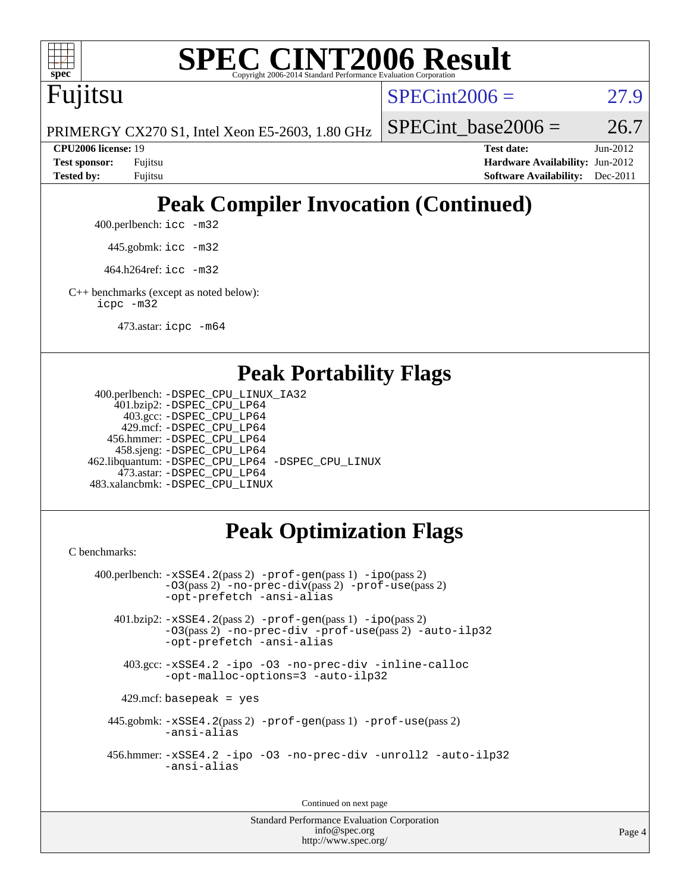

# **[SPEC CINT2006 Result](http://www.spec.org/auto/cpu2006/Docs/result-fields.html#SPECCINT2006Result)**

Fujitsu

 $SPECint2006 = 27.9$  $SPECint2006 = 27.9$ 

PRIMERGY CX270 S1, Intel Xeon E5-2603, 1.80 GHz

SPECint base2006 =  $26.7$ 

**[CPU2006 license:](http://www.spec.org/auto/cpu2006/Docs/result-fields.html#CPU2006license)** 19 **[Test date:](http://www.spec.org/auto/cpu2006/Docs/result-fields.html#Testdate)** Jun-2012 **[Test sponsor:](http://www.spec.org/auto/cpu2006/Docs/result-fields.html#Testsponsor)** Fujitsu **[Hardware Availability:](http://www.spec.org/auto/cpu2006/Docs/result-fields.html#HardwareAvailability)** Jun-2012 **[Tested by:](http://www.spec.org/auto/cpu2006/Docs/result-fields.html#Testedby)** Fujitsu **[Software Availability:](http://www.spec.org/auto/cpu2006/Docs/result-fields.html#SoftwareAvailability)** Dec-2011

# **[Peak Compiler Invocation \(Continued\)](http://www.spec.org/auto/cpu2006/Docs/result-fields.html#PeakCompilerInvocation)**

400.perlbench: [icc -m32](http://www.spec.org/cpu2006/results/res2012q3/cpu2006-20120620-23125.flags.html#user_peakCCLD400_perlbench_intel_icc_a6a621f8d50482236b970c6ac5f55f93)

445.gobmk: [icc -m32](http://www.spec.org/cpu2006/results/res2012q3/cpu2006-20120620-23125.flags.html#user_peakCCLD445_gobmk_intel_icc_a6a621f8d50482236b970c6ac5f55f93)

464.h264ref: [icc -m32](http://www.spec.org/cpu2006/results/res2012q3/cpu2006-20120620-23125.flags.html#user_peakCCLD464_h264ref_intel_icc_a6a621f8d50482236b970c6ac5f55f93)

[C++ benchmarks \(except as noted below\):](http://www.spec.org/auto/cpu2006/Docs/result-fields.html#CXXbenchmarksexceptasnotedbelow) [icpc -m32](http://www.spec.org/cpu2006/results/res2012q3/cpu2006-20120620-23125.flags.html#user_CXXpeak_intel_icpc_4e5a5ef1a53fd332b3c49e69c3330699)

473.astar: [icpc -m64](http://www.spec.org/cpu2006/results/res2012q3/cpu2006-20120620-23125.flags.html#user_peakCXXLD473_astar_intel_icpc_64bit_fc66a5337ce925472a5c54ad6a0de310)

#### **[Peak Portability Flags](http://www.spec.org/auto/cpu2006/Docs/result-fields.html#PeakPortabilityFlags)**

```
 400.perlbench: -DSPEC_CPU_LINUX_IA32
    401.bzip2: -DSPEC_CPU_LP64
      403.gcc: -DSPEC_CPU_LP64
     429.mcf: -DSPEC_CPU_LP64
   456.hmmer: -DSPEC_CPU_LP64
    458.sjeng: -DSPEC_CPU_LP64
462.libquantum: -DSPEC_CPU_LP64 -DSPEC_CPU_LINUX
     473.astar: -DSPEC_CPU_LP64
483.xalancbmk: -DSPEC_CPU_LINUX
```
## **[Peak Optimization Flags](http://www.spec.org/auto/cpu2006/Docs/result-fields.html#PeakOptimizationFlags)**

[C benchmarks](http://www.spec.org/auto/cpu2006/Docs/result-fields.html#Cbenchmarks):

```
 400.perlbench: -xSSE4.2(pass 2) -prof-gen(pass 1) -ipo(pass 2)
           -O3(pass 2) -no-prec-div(pass 2) -prof-use(pass 2)
          -opt-prefetch -ansi-alias
   401.bzip2: -xSSE4.2(pass 2) -prof-gen(pass 1) -ipo(pass 2)
           -O3(pass 2) -no-prec-div -prof-use(pass 2) -auto-ilp32
           -opt-prefetch -ansi-alias
    403.gcc: -xSSE4.2 -ipo -O3 -no-prec-div -inline-calloc
           -opt-malloc-options=3 -auto-ilp32
   429.mcf: basepeak = yes
  445.gobmk: -xSSE4.2(pass 2) -prof-gen(pass 1) -prof-use(pass 2)
           -ansi-alias
  456.hmmer: -xSSE4.2 -ipo -O3 -no-prec-div -unroll2 -auto-ilp32
           -ansi-alias
```
Continued on next page

Standard Performance Evaluation Corporation [info@spec.org](mailto:info@spec.org) <http://www.spec.org/>